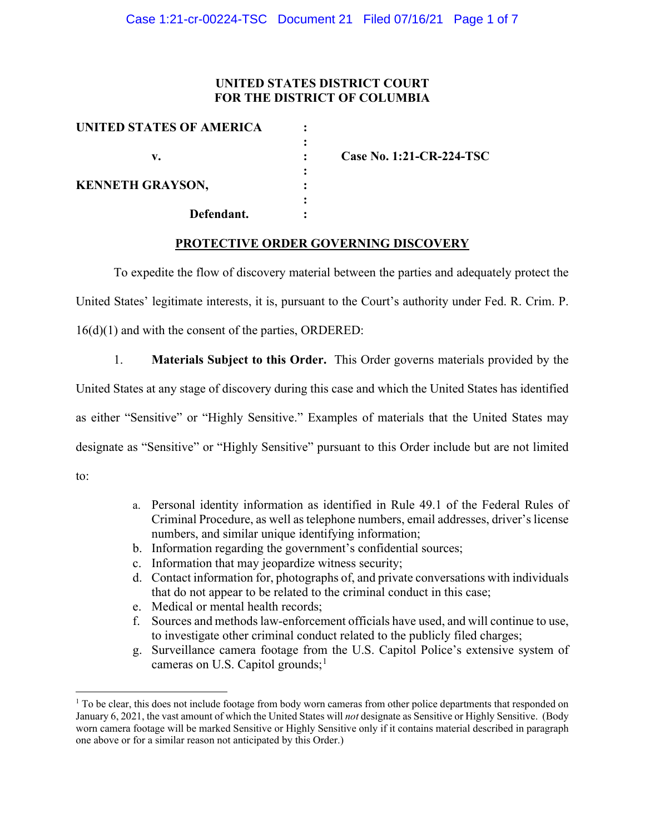## **UNITED STATES DISTRICT COURT FOR THE DISTRICT OF COLUMBIA**

| UNITED STATES OF AMERICA |                          |
|--------------------------|--------------------------|
| v.                       | Case No. 1:21-CR-224-TSC |
| <b>KENNETH GRAYSON,</b>  |                          |
| Defendant.               |                          |

### **PROTECTIVE ORDER GOVERNING DISCOVERY**

To expedite the flow of discovery material between the parties and adequately protect the United States' legitimate interests, it is, pursuant to the Court's authority under Fed. R. Crim. P. 16(d)(1) and with the consent of the parties, ORDERED:

1. **Materials Subject to this Order.** This Order governs materials provided by the United States at any stage of discovery during this case and which the United States has identified as either "Sensitive" or "Highly Sensitive." Examples of materials that the United States may designate as "Sensitive" or "Highly Sensitive" pursuant to this Order include but are not limited to:

- a. Personal identity information as identified in Rule 49.1 of the Federal Rules of Criminal Procedure, as well as telephone numbers, email addresses, driver's license numbers, and similar unique identifying information;
- b. Information regarding the government's confidential sources;
- c. Information that may jeopardize witness security;
- d. Contact information for, photographs of, and private conversations with individuals that do not appear to be related to the criminal conduct in this case;
- e. Medical or mental health records;
- f. Sources and methods law-enforcement officials have used, and will continue to use, to investigate other criminal conduct related to the publicly filed charges;
- g. Surveillance camera footage from the U.S. Capitol Police's extensive system of cameras on U.S. Capitol grounds;<sup>1</sup>

 $1$  To be clear, this does not include footage from body worn cameras from other police departments that responded on January 6, 2021, the vast amount of which the United States will *not* designate as Sensitive or Highly Sensitive. (Body worn camera footage will be marked Sensitive or Highly Sensitive only if it contains material described in paragraph one above or for a similar reason not anticipated by this Order.)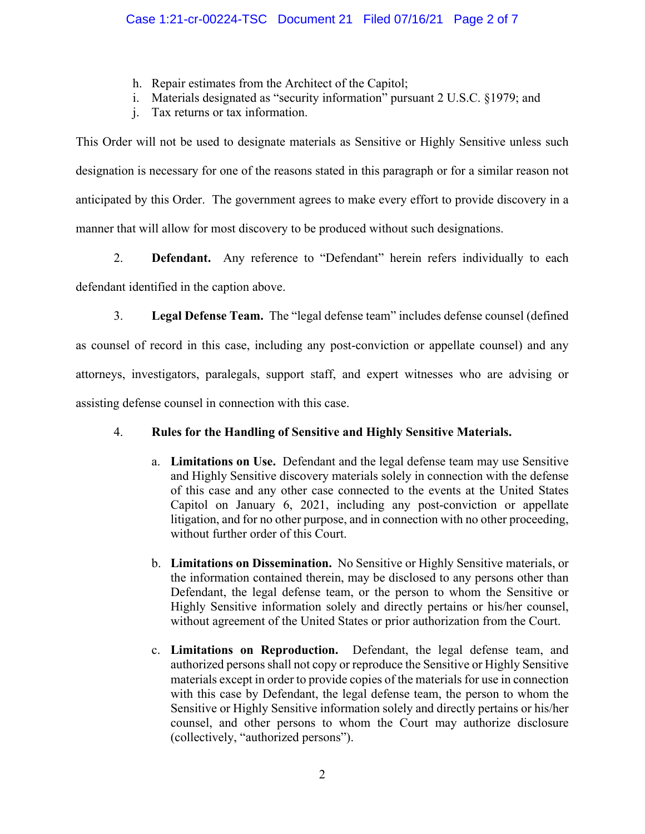- h. Repair estimates from the Architect of the Capitol;
- i. Materials designated as "security information" pursuant 2 U.S.C. §1979; and
- j. Tax returns or tax information.

This Order will not be used to designate materials as Sensitive or Highly Sensitive unless such designation is necessary for one of the reasons stated in this paragraph or for a similar reason not anticipated by this Order. The government agrees to make every effort to provide discovery in a manner that will allow for most discovery to be produced without such designations.

2. **Defendant.** Any reference to "Defendant" herein refers individually to each defendant identified in the caption above.

3. **Legal Defense Team.** The "legal defense team" includes defense counsel (defined as counsel of record in this case, including any post-conviction or appellate counsel) and any attorneys, investigators, paralegals, support staff, and expert witnesses who are advising or assisting defense counsel in connection with this case.

# 4. **Rules for the Handling of Sensitive and Highly Sensitive Materials.**

- a. **Limitations on Use.** Defendant and the legal defense team may use Sensitive and Highly Sensitive discovery materials solely in connection with the defense of this case and any other case connected to the events at the United States Capitol on January 6, 2021, including any post-conviction or appellate litigation, and for no other purpose, and in connection with no other proceeding, without further order of this Court.
- b. **Limitations on Dissemination.** No Sensitive or Highly Sensitive materials, or the information contained therein, may be disclosed to any persons other than Defendant, the legal defense team, or the person to whom the Sensitive or Highly Sensitive information solely and directly pertains or his/her counsel, without agreement of the United States or prior authorization from the Court.
- c. **Limitations on Reproduction.** Defendant, the legal defense team, and authorized persons shall not copy or reproduce the Sensitive or Highly Sensitive materials except in order to provide copies of the materials for use in connection with this case by Defendant, the legal defense team, the person to whom the Sensitive or Highly Sensitive information solely and directly pertains or his/her counsel, and other persons to whom the Court may authorize disclosure (collectively, "authorized persons").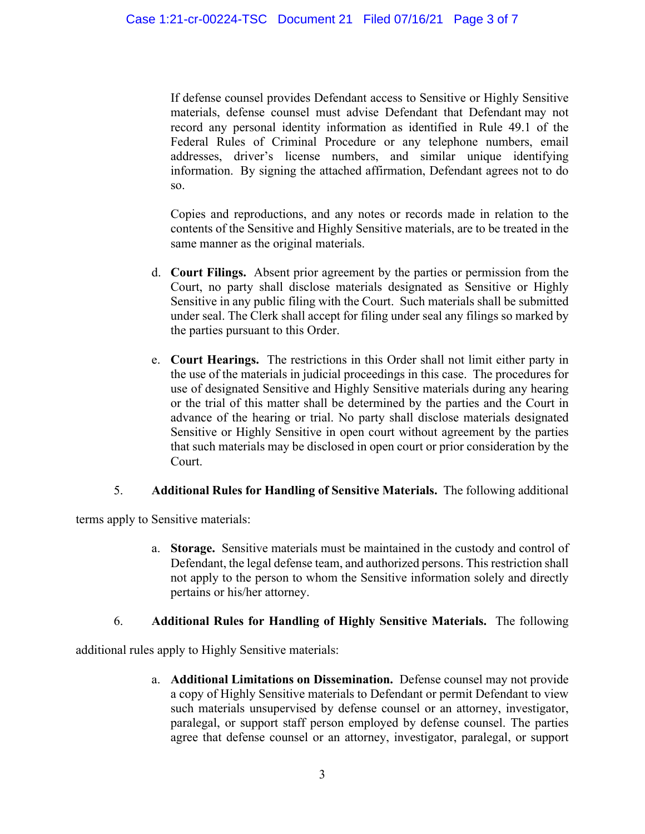If defense counsel provides Defendant access to Sensitive or Highly Sensitive materials, defense counsel must advise Defendant that Defendant may not record any personal identity information as identified in Rule 49.1 of the Federal Rules of Criminal Procedure or any telephone numbers, email addresses, driver's license numbers, and similar unique identifying information. By signing the attached affirmation, Defendant agrees not to do so.

Copies and reproductions, and any notes or records made in relation to the contents of the Sensitive and Highly Sensitive materials, are to be treated in the same manner as the original materials.

- d. **Court Filings.** Absent prior agreement by the parties or permission from the Court, no party shall disclose materials designated as Sensitive or Highly Sensitive in any public filing with the Court. Such materials shall be submitted under seal. The Clerk shall accept for filing under seal any filings so marked by the parties pursuant to this Order.
- e. **Court Hearings.** The restrictions in this Order shall not limit either party in the use of the materials in judicial proceedings in this case. The procedures for use of designated Sensitive and Highly Sensitive materials during any hearing or the trial of this matter shall be determined by the parties and the Court in advance of the hearing or trial. No party shall disclose materials designated Sensitive or Highly Sensitive in open court without agreement by the parties that such materials may be disclosed in open court or prior consideration by the Court.

### 5. **Additional Rules for Handling of Sensitive Materials.** The following additional

terms apply to Sensitive materials:

a. **Storage.** Sensitive materials must be maintained in the custody and control of Defendant, the legal defense team, and authorized persons. This restriction shall not apply to the person to whom the Sensitive information solely and directly pertains or his/her attorney.

# 6. **Additional Rules for Handling of Highly Sensitive Materials.** The following

additional rules apply to Highly Sensitive materials:

a. **Additional Limitations on Dissemination.** Defense counsel may not provide a copy of Highly Sensitive materials to Defendant or permit Defendant to view such materials unsupervised by defense counsel or an attorney, investigator, paralegal, or support staff person employed by defense counsel. The parties agree that defense counsel or an attorney, investigator, paralegal, or support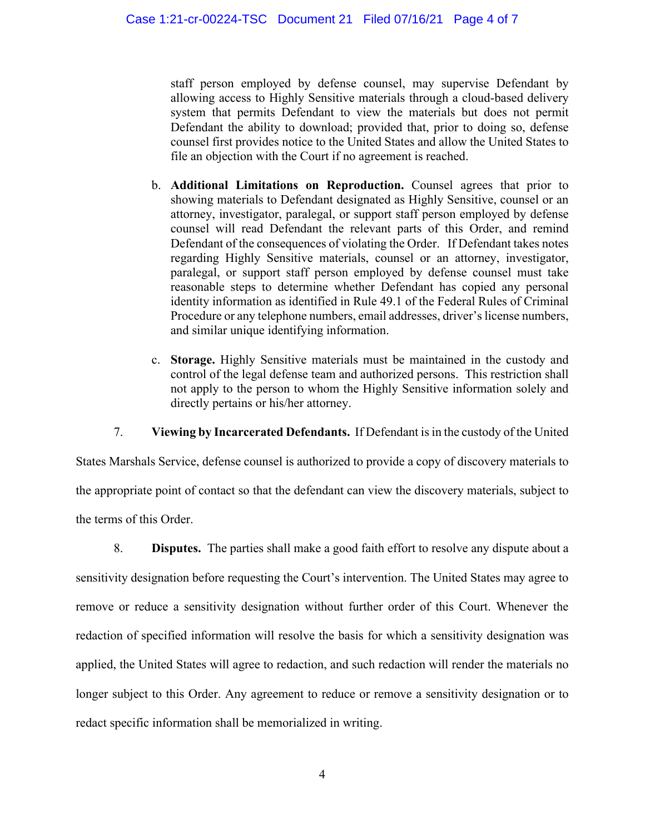staff person employed by defense counsel, may supervise Defendant by allowing access to Highly Sensitive materials through a cloud-based delivery system that permits Defendant to view the materials but does not permit Defendant the ability to download; provided that, prior to doing so, defense counsel first provides notice to the United States and allow the United States to file an objection with the Court if no agreement is reached.

- b. **Additional Limitations on Reproduction.** Counsel agrees that prior to showing materials to Defendant designated as Highly Sensitive, counsel or an attorney, investigator, paralegal, or support staff person employed by defense counsel will read Defendant the relevant parts of this Order, and remind Defendant of the consequences of violating the Order. If Defendant takes notes regarding Highly Sensitive materials, counsel or an attorney, investigator, paralegal, or support staff person employed by defense counsel must take reasonable steps to determine whether Defendant has copied any personal identity information as identified in Rule 49.1 of the Federal Rules of Criminal Procedure or any telephone numbers, email addresses, driver's license numbers, and similar unique identifying information.
- c. **Storage.** Highly Sensitive materials must be maintained in the custody and control of the legal defense team and authorized persons. This restriction shall not apply to the person to whom the Highly Sensitive information solely and directly pertains or his/her attorney.

7. **Viewing by Incarcerated Defendants.** If Defendant is in the custody of the United

States Marshals Service, defense counsel is authorized to provide a copy of discovery materials to the appropriate point of contact so that the defendant can view the discovery materials, subject to the terms of this Order.

8. **Disputes.** The parties shall make a good faith effort to resolve any dispute about a sensitivity designation before requesting the Court's intervention. The United States may agree to remove or reduce a sensitivity designation without further order of this Court. Whenever the redaction of specified information will resolve the basis for which a sensitivity designation was applied, the United States will agree to redaction, and such redaction will render the materials no longer subject to this Order. Any agreement to reduce or remove a sensitivity designation or to redact specific information shall be memorialized in writing.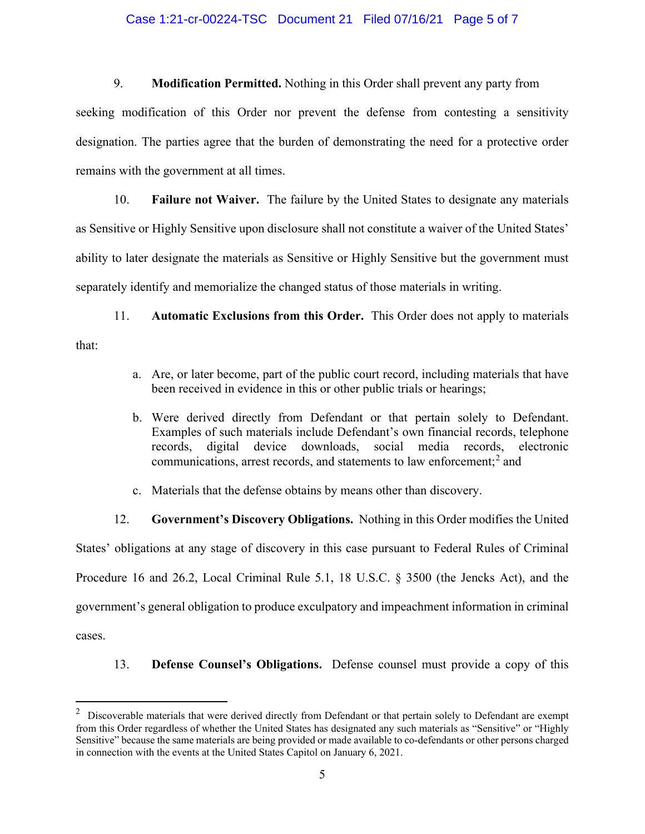#### Case 1:21-cr-00224-TSC Document 21 Filed 07/16/21 Page 5 of 7

9. **Modification Permitted.** Nothing in this Order shall prevent any party from

seeking modification of this Order nor prevent the defense from contesting a sensitivity designation. The parties agree that the burden of demonstrating the need for a protective order remains with the government at all times.

10. **Failure not Waiver.** The failure by the United States to designate any materials as Sensitive or Highly Sensitive upon disclosure shall not constitute a waiver of the United States' ability to later designate the materials as Sensitive or Highly Sensitive but the government must separately identify and memorialize the changed status of those materials in writing.

11. **Automatic Exclusions from this Order.** This Order does not apply to materials that:

- a. Are, or later become, part of the public court record, including materials that have been received in evidence in this or other public trials or hearings;
- b. Were derived directly from Defendant or that pertain solely to Defendant. Examples of such materials include Defendant's own financial records, telephone records, digital device downloads, social media records, electronic communications, arrest records, and statements to law enforcement;<sup>2</sup> and
- c. Materials that the defense obtains by means other than discovery.

12. **Government's Discovery Obligations.** Nothing in this Order modifies the United

States' obligations at any stage of discovery in this case pursuant to Federal Rules of Criminal Procedure 16 and 26.2, Local Criminal Rule 5.1, 18 U.S.C. § 3500 (the Jencks Act), and the government's general obligation to produce exculpatory and impeachment information in criminal cases.

13. **Defense Counsel's Obligations.** Defense counsel must provide a copy of this

 $2$  Discoverable materials that were derived directly from Defendant or that pertain solely to Defendant are exempt from this Order regardless of whether the United States has designated any such materials as "Sensitive" or "Highly Sensitive" because the same materials are being provided or made available to co-defendants or other persons charged in connection with the events at the United States Capitol on January 6, 2021.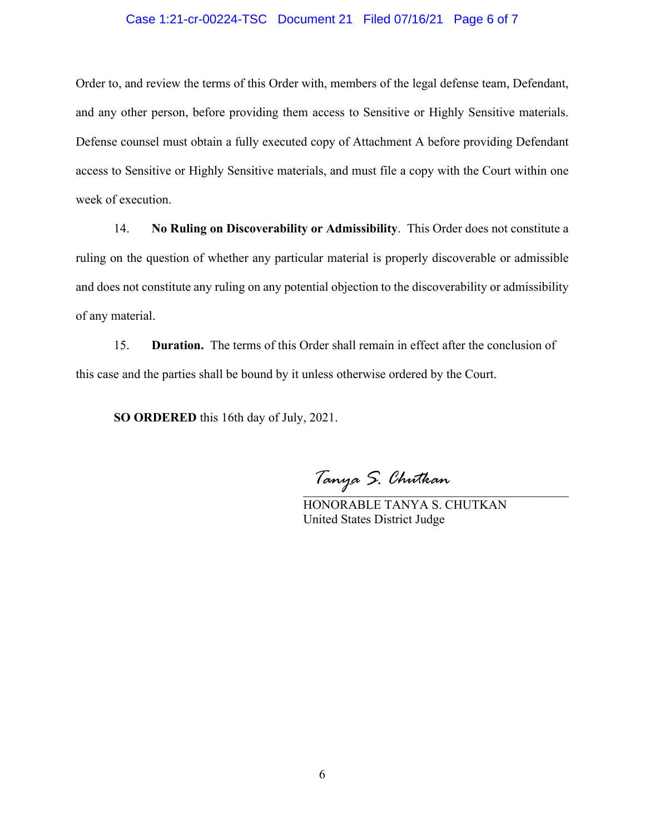#### Case 1:21-cr-00224-TSC Document 21 Filed 07/16/21 Page 6 of 7

Order to, and review the terms of this Order with, members of the legal defense team, Defendant, and any other person, before providing them access to Sensitive or Highly Sensitive materials. Defense counsel must obtain a fully executed copy of Attachment A before providing Defendant access to Sensitive or Highly Sensitive materials, and must file a copy with the Court within one week of execution.

14. **No Ruling on Discoverability or Admissibility**. This Order does not constitute a ruling on the question of whether any particular material is properly discoverable or admissible and does not constitute any ruling on any potential objection to the discoverability or admissibility of any material.

15. **Duration.** The terms of this Order shall remain in effect after the conclusion of this case and the parties shall be bound by it unless otherwise ordered by the Court.

**SO ORDERED** this 16th day of July, 2021.

\_\_\_\_\_\_\_\_\_\_\_\_\_\_\_\_\_\_\_\_\_\_\_\_\_\_\_\_\_\_\_\_\_\_\_\_\_\_\_\_\_\_ *Tanya S. Chutkan*

HONORABLE TANYA S. CHUTKAN United States District Judge